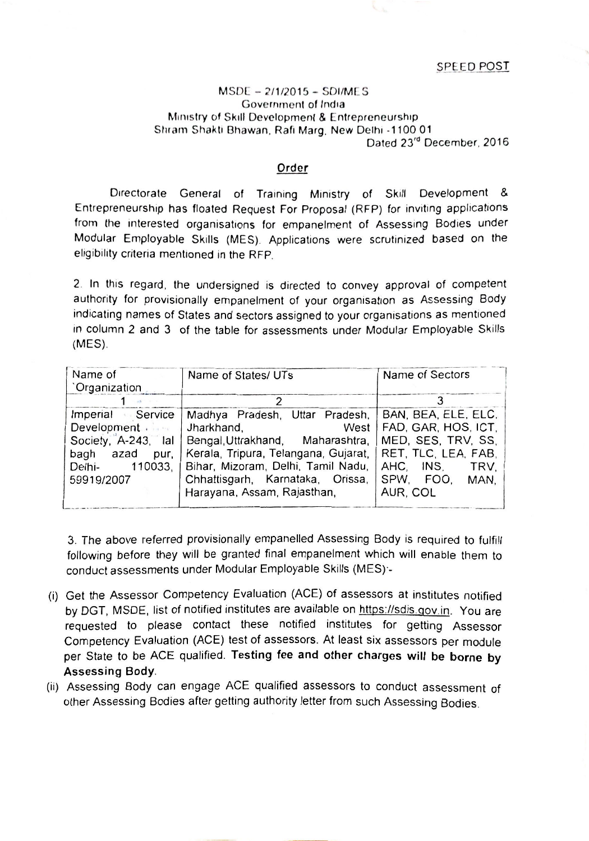**SPEED POST** 

## MSOE - *2/1/2015 -* SDI/M[S Government of India Ministry of Skill Development & Entrepreneurship Shram Shakti Bhawan, Rafi Marg. New Delhi -1100 01 Dated 23'd December. 2016

## Order

Directorate General of Training Ministry of Skill Development & Entrepreneurship has floated Request For Proposal (RFP) for inviting applications from the interested organisations for empanelment of Assessing Bodies under Modular Employable Skills (MES). Applications were scrutinized based on the eligibility criteria mentioned in the RFP.

2. In this regard. the undersigned is directed to convey approval of competent authority for provisionally empanelment of your organisation as Assessing Body indicating names of States and sectors assigned to your organisations as mentioned in column 2 and 3 of the table for assessments under Modular Employable Skills (MES).

| Name of<br><b>Crganization</b>                                                                                      | Name of States/ UTs                                                                                                                                                                                                                       | Name of Sectors                                                                                                                               |
|---------------------------------------------------------------------------------------------------------------------|-------------------------------------------------------------------------------------------------------------------------------------------------------------------------------------------------------------------------------------------|-----------------------------------------------------------------------------------------------------------------------------------------------|
|                                                                                                                     |                                                                                                                                                                                                                                           |                                                                                                                                               |
| Imperial Service<br>Development .<br>Society, A-243, lal<br>bagh<br>azad<br>pur,<br>110033,<br>Delhi-<br>59919/2007 | Madhya Pradesh, Uttar Pradesh,<br>Jharkhand,<br>West<br>Bengal, Uttrakhand, Maharashtra,<br>Kerala, Tripura, Telangana, Gujarat,<br>Bihar, Mizoram, Delhi, Tamil Nadu,<br>Chhattisgarh, Karnataka, Orissa,<br>Harayana, Assam, Rajasthan, | BAN, BEA, ELE, ELC.<br>FAD, GAR, HOS, ICT,<br>MED, SES, TRV, SS,<br>RET, TLC, LEA, FAB,<br>AHC, INS,<br>TRV.<br>SPW. FOO.<br>MAN.<br>AUR, COL |

3. The above referred provisionally empanelled Assessing Body is required to fulfill following before they will be granted final empanelment which will enable them to conduct assessments under Modular Employable Skills (MES):-

- (i) Get the Assessor Competency Evaluation (ACE) of assessors at institutes notified by DGT, MSDE, list of notified institutes are available on https://sdis.gov.in. You are requested to please contact these notified institutes for getting Assessor Competency Evaluation (ACE) test of assessors. At least six assessors per module per State to be ACE qualified. Testing fee and other charges will be borne by Assessing Body.
- (ii) Assessing Body can engage ACE qualified assessors to conduct assessment of other Assessing Bodies after getting authority letter from such Assessing Bodies.